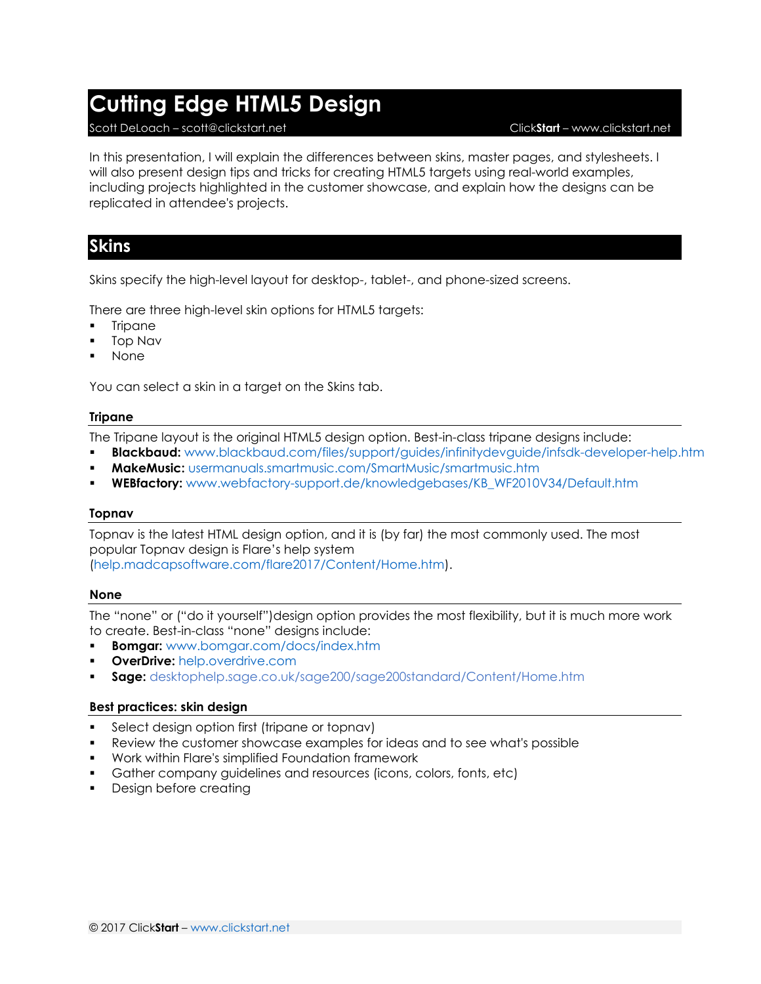# **Cutting Edge HTML5 Design**

#### Scott DeLoach – scott@clickstart.net Click**Start** – www.clickstart.net

In this presentation, I will explain the differences between skins, master pages, and stylesheets. I will also present design tips and tricks for creating HTML5 targets using real-world examples, including projects highlighted in the customer showcase, and explain how the designs can be replicated in attendee's projects.

## **Skins**

Skins specify the high-level layout for desktop-, tablet-, and phone-sized screens.

There are three high-level skin options for HTML5 targets:

- **Tripane**
- Top Nav
- None

You can select a skin in a target on the Skins tab.

#### **Tripane**

The Tripane layout is the original HTML5 design option. Best-in-class tripane designs include:

- **Blackbaud:** <www.blackbaud.com/files/support/guides/infinitydevguide/infsdk-developer-help.htm>
- **MakeMusic:** <usermanuals.smartmusic.com/SmartMusic/smartmusic.htm>
- **WEBfactory:** [www.webfactory-support.de/knowledgebases/KB\\_WF2010V34/Default.htm](http://www.webfactory-support.de/knowledgebases/KB_WF2010V34/Default.htm)

#### **Topnav**

Topnav is the latest HTML design option, and it is (by far) the most commonly used. The most popular Topnav design is Flare's help system [\(help.madcapsoftware.com/flare2017/Content/Home.htm\)](help.madcapsoftware.com/flare2017/Content/Home.htm).

### **None**

The "none" or ("do it yourself")design option provides the most flexibility, but it is much more work to create. Best-in-class "none" designs include:

- **Bomgar:** [www.bomgar.com/docs/index.htm](http://www.bomgar.com/docs/index.htm)
- **DverDrive: [help.overdrive.com](http://help.overdrive.com/)**
- **Sage:** [desktophelp.sage.co.uk/sage200/sage200standard/Content/Home.htm](http://desktophelp.sage.co.uk/sage200/sage200standard/Content/Home.htm)

### **Best practices: skin design**

- Select design option first (tripane or topnav)
- Review the customer showcase examples for ideas and to see what's possible
- Work within Flare's simplified Foundation framework
- Gather company guidelines and resources (icons, colors, fonts, etc)
- Design before creating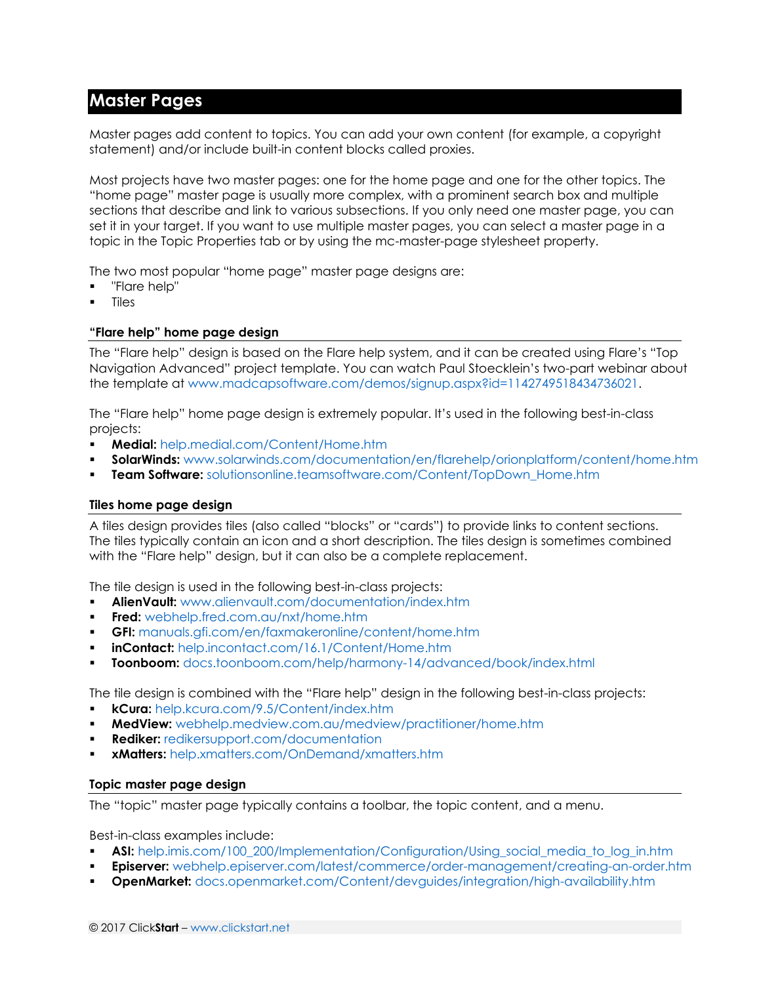## **Master Pages**

Master pages add content to topics. You can add your own content (for example, a copyright statement) and/or include built-in content blocks called proxies.

Most projects have two master pages: one for the home page and one for the other topics. The "home page" master page is usually more complex, with a prominent search box and multiple sections that describe and link to various subsections. If you only need one master page, you can set it in your target. If you want to use multiple master pages, you can select a master page in a topic in the Topic Properties tab or by using the mc-master-page stylesheet property.

The two most popular "home page" master page designs are:

- "Flare help"
- Tiles

### **"Flare help" home page design**

The "Flare help" design is based on the Flare help system, and it can be created using Flare's "Top Navigation Advanced" project template. You can watch Paul Stoecklein's two-part webinar about the template at [www.madcapsoftware.com/demos/signup.aspx?id=1142749518434736021.](www.madcapsoftware.com/demos/signup.aspx?id=1142749518434736021)

The "Flare help" home page design is extremely popular. It's used in the following best-in-class projects:

- **Medial:** [help.medial.com/Content/Home.htm](http://help.medial.com/Content/Home.htm)
- **SolarWinds:** [www.solarwinds.com/documentation/en/flarehelp/orionplatform/content/home.htm](http://www.solarwinds.com/documentation/en/flarehelp/orionplatform/content/home.htm)
- **Team Software:** [solutionsonline.teamsoftware.com/Content/TopDown\\_Home.htm](http://solutionsonline.teamsoftware.com/Content/TopDown_Home.htm)

#### **Tiles home page design**

A tiles design provides tiles (also called "blocks" or "cards") to provide links to content sections. The tiles typically contain an icon and a short description. The tiles design is sometimes combined with the "Flare help" design, but it can also be a complete replacement.

The tile design is used in the following best-in-class projects:

- **AlienVault:** [www.alienvault.com/documentation/index.htm](http://www.alienvault.com/documentation/index.htm)
- **Fred:** <webhelp.fred.com.au/nxt/home.htm>
- **GFI:** <manuals.gfi.com/en/faxmakeronline/content/home.htm>
- **inContact:** <help.incontact.com/16.1/Content/Home.htm>
- **Toonboom:** <docs.toonboom.com/help/harmony-14/advanced/book/index.html>

The tile design is combined with the "Flare help" design in the following best-in-class projects:

- **kCura:** [help.kcura.com/9.5/Content/index.htm](http://help.kcura.com/9.5/Content/index.htm)
- **MedView:** [webhelp.medview.com.au/medview/practitioner/home.htm](http://webhelp.medview.com.au/medview/practitioner/home.htm)
- **Rediker:** [redikersupport.com/documentation](http://redikersupport.com/documentation)
- **xMatters:** [help.xmatters.com/OnDemand/xmatters.htm](http://help.xmatters.com/OnDemand/xmatters.htm)

#### **Topic master page design**

The "topic" master page typically contains a toolbar, the topic content, and a menu.

Best-in-class examples include:

- **ASI:** [help.imis.com/100\\_200/Implementation/Configuration/Using\\_social\\_media\\_to\\_log\\_in.htm](http://help.imis.com/100_200/Implementation/Configuration/Using_social_media_to_log_in.htm)
- **Episerver:** [webhelp.episerver.com/latest/commerce/order-management/creating-an-order.htm](http://webhelp.episerver.com/latest/commerce/order-management/creating-an-order.htm)
- **OpenMarket:** [docs.openmarket.com/Content/devguides/integration/high-availability.htm](http://docs.openmarket.com/Content/devguides/integration/high-availability.htm)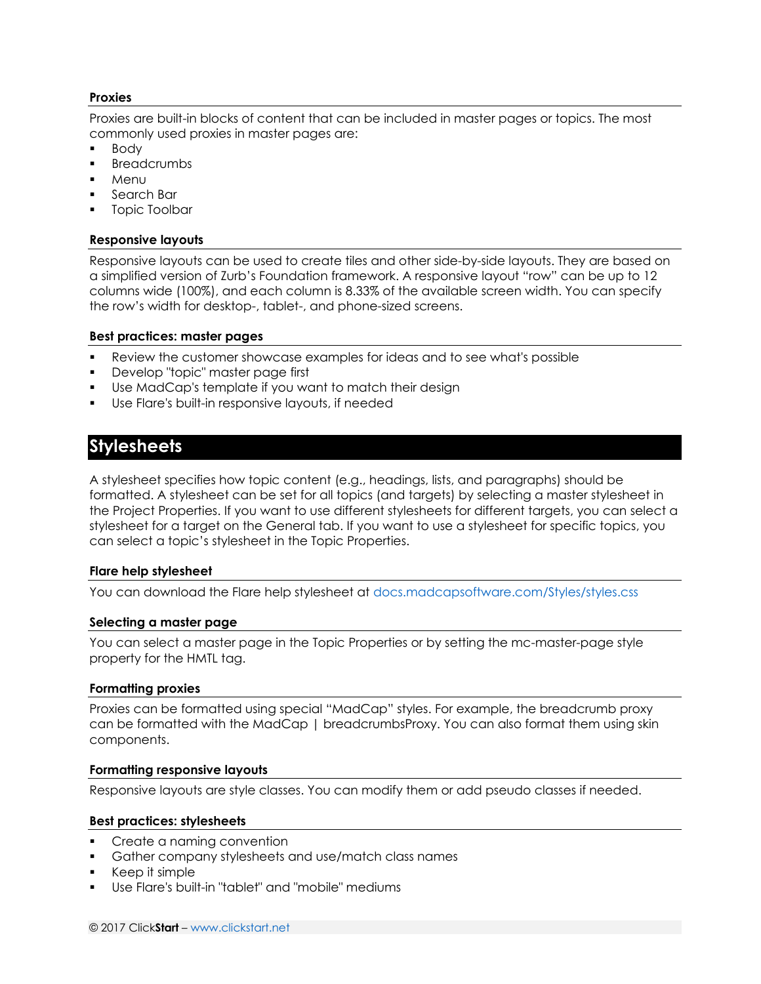#### **Proxies**

Proxies are built-in blocks of content that can be included in master pages or topics. The most commonly used proxies in master pages are:

- Body
- **Breadcrumbs**
- Menu
- Search Bar
- Topic Toolbar

#### **Responsive layouts**

Responsive layouts can be used to create tiles and other side-by-side layouts. They are based on a simplified version of Zurb's Foundation framework. A responsive layout "row" can be up to 12 columns wide (100%), and each column is 8.33% of the available screen width. You can specify the row's width for desktop-, tablet-, and phone-sized screens.

#### **Best practices: master pages**

- Review the customer showcase examples for ideas and to see what's possible
- Develop "topic" master page first
- Use MadCap's template if you want to match their design
- Use Flare's built-in responsive layouts, if needed

## **Stylesheets**

A stylesheet specifies how topic content (e.g., headings, lists, and paragraphs) should be formatted. A stylesheet can be set for all topics (and targets) by selecting a master stylesheet in the Project Properties. If you want to use different stylesheets for different targets, you can select a stylesheet for a target on the General tab. If you want to use a stylesheet for specific topics, you can select a topic's stylesheet in the Topic Properties.

#### **Flare help stylesheet**

You can download the Flare help stylesheet at<docs.madcapsoftware.com/Styles/styles.css>

#### **Selecting a master page**

You can select a master page in the Topic Properties or by setting the mc-master-page style property for the HMTL tag.

#### **Formatting proxies**

Proxies can be formatted using special "MadCap" styles. For example, the breadcrumb proxy can be formatted with the MadCap | breadcrumbsProxy. You can also format them using skin components.

#### **Formatting responsive layouts**

Responsive layouts are style classes. You can modify them or add pseudo classes if needed.

#### **Best practices: stylesheets**

- Create a naming convention
- Gather company stylesheets and use/match class names
- Keep it simple
- Use Flare's built-in "tablet" and "mobile" mediums